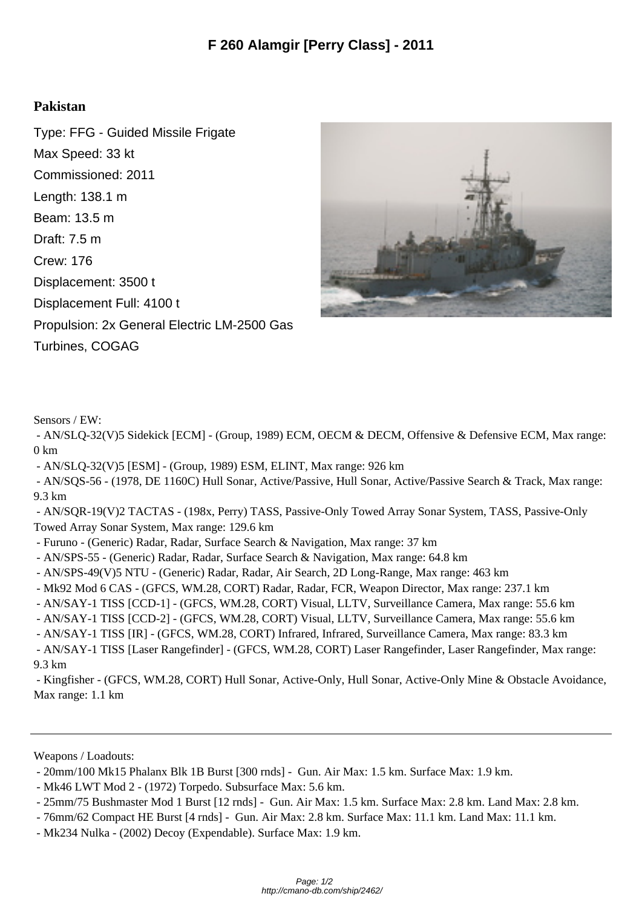## **Pakistan**

Type: FFG - Guided Missile Frigate Max Speed: 33 kt Commissioned: 2011 Length: 138.1 m Beam: 13.5 m Draft: 7.5 m Crew: 176 Displacement: 3500 t Displacement Full: 4100 t Propulsion: 2x General Electric LM-2500 Gas Turbines, COGAG



Sensors / EW:

 - AN/SLQ-32(V)5 Sidekick [ECM] - (Group, 1989) ECM, OECM & DECM, Offensive & Defensive ECM, Max range:  $0 \text{ km}$ 

- AN/SLQ-32(V)5 [ESM] - (Group, 1989) ESM, ELINT, Max range: 926 km

 - AN/SQS-56 - (1978, DE 1160C) Hull Sonar, Active/Passive, Hull Sonar, Active/Passive Search & Track, Max range: 9.3 km

 - AN/SQR-19(V)2 TACTAS - (198x, Perry) TASS, Passive-Only Towed Array Sonar System, TASS, Passive-Only Towed Array Sonar System, Max range: 129.6 km

- Furuno - (Generic) Radar, Radar, Surface Search & Navigation, Max range: 37 km

- AN/SPS-55 (Generic) Radar, Radar, Surface Search & Navigation, Max range: 64.8 km
- AN/SPS-49(V)5 NTU (Generic) Radar, Radar, Air Search, 2D Long-Range, Max range: 463 km
- Mk92 Mod 6 CAS (GFCS, WM.28, CORT) Radar, Radar, FCR, Weapon Director, Max range: 237.1 km
- AN/SAY-1 TISS [CCD-1] (GFCS, WM.28, CORT) Visual, LLTV, Surveillance Camera, Max range: 55.6 km
- AN/SAY-1 TISS [CCD-2] (GFCS, WM.28, CORT) Visual, LLTV, Surveillance Camera, Max range: 55.6 km
- AN/SAY-1 TISS [IR] (GFCS, WM.28, CORT) Infrared, Infrared, Surveillance Camera, Max range: 83.3 km
- AN/SAY-1 TISS [Laser Rangefinder] (GFCS, WM.28, CORT) Laser Rangefinder, Laser Rangefinder, Max range: 9.3 km

 - Kingfisher - (GFCS, WM.28, CORT) Hull Sonar, Active-Only, Hull Sonar, Active-Only Mine & Obstacle Avoidance, Max range: 1.1 km

Weapons / Loadouts:

- 76mm/62 Compact HE Burst [4 rnds] Gun. Air Max: 2.8 km. Surface Max: 11.1 km. Land Max: 11.1 km.
- Mk234 Nulka (2002) Decoy (Expendable). Surface Max: 1.9 km.

 <sup>- 20</sup>mm/100 Mk15 Phalanx Blk 1B Burst [300 rnds] - Gun. Air Max: 1.5 km. Surface Max: 1.9 km.

 <sup>-</sup> Mk46 LWT Mod 2 - (1972) Torpedo. Subsurface Max: 5.6 km.

 <sup>- 25</sup>mm/75 Bushmaster Mod 1 Burst [12 rnds] - Gun. Air Max: 1.5 km. Surface Max: 2.8 km. Land Max: 2.8 km.